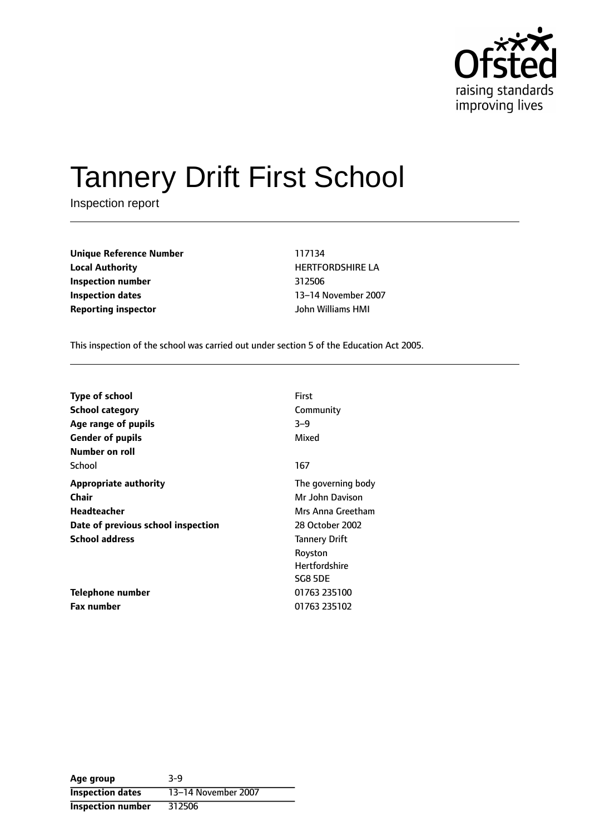

# Tannery Drift First School

Inspection report

**Unique Reference Number** 117134 **Local Authority HERTFORDSHIRE LA Inspection number** 312506 **Inspection dates** 13-14 November 2007 **Reporting inspector** John Williams HMI

This inspection of the school was carried out under section 5 of the Education Act 2005.

| <b>Type of school</b>              | <b>First</b>         |
|------------------------------------|----------------------|
| <b>School category</b>             | Community            |
| Age range of pupils                | $3 - 9$              |
| <b>Gender of pupils</b>            | Mixed                |
| Number on roll                     |                      |
| School                             | 167                  |
| <b>Appropriate authority</b>       | The governing body   |
| Chair                              | Mr John Davison      |
| Headteacher                        | Mrs Anna Greetham    |
| Date of previous school inspection | 28 October 2002      |
| <b>School address</b>              | <b>Tannery Drift</b> |
|                                    | Royston              |
|                                    | <b>Hertfordshire</b> |
|                                    | <b>SG8 5DE</b>       |
| Telephone number                   | 01763 235100         |
| <b>Fax number</b>                  | 01763 235102         |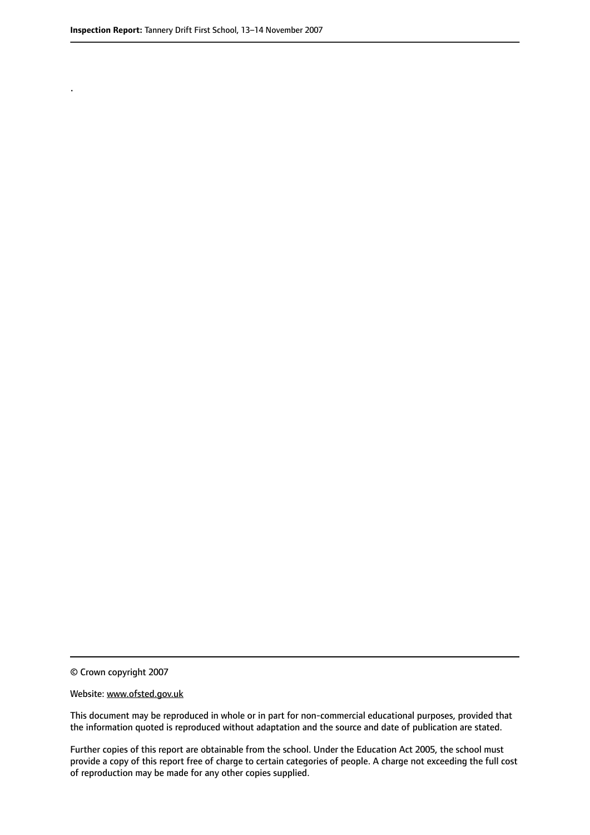.

© Crown copyright 2007

#### Website: www.ofsted.gov.uk

This document may be reproduced in whole or in part for non-commercial educational purposes, provided that the information quoted is reproduced without adaptation and the source and date of publication are stated.

Further copies of this report are obtainable from the school. Under the Education Act 2005, the school must provide a copy of this report free of charge to certain categories of people. A charge not exceeding the full cost of reproduction may be made for any other copies supplied.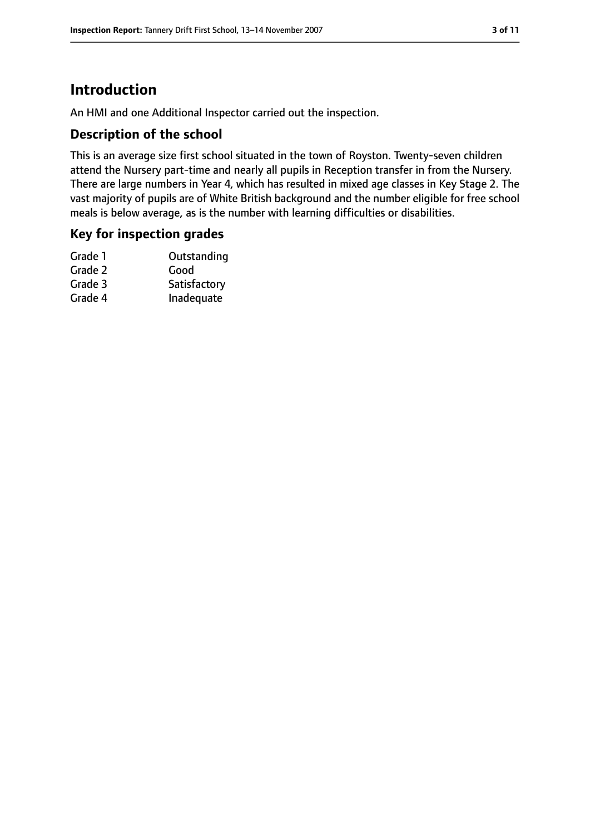# **Introduction**

An HMI and one Additional Inspector carried out the inspection.

## **Description of the school**

This is an average size first school situated in the town of Royston. Twenty-seven children attend the Nursery part-time and nearly all pupils in Reception transfer in from the Nursery. There are large numbers in Year 4, which has resulted in mixed age classes in Key Stage 2. The vast majority of pupils are of White British background and the number eligible for free school meals is below average, as is the number with learning difficulties or disabilities.

## **Key for inspection grades**

| Outstanding  |
|--------------|
| Good         |
| Satisfactory |
| Inadequate   |
|              |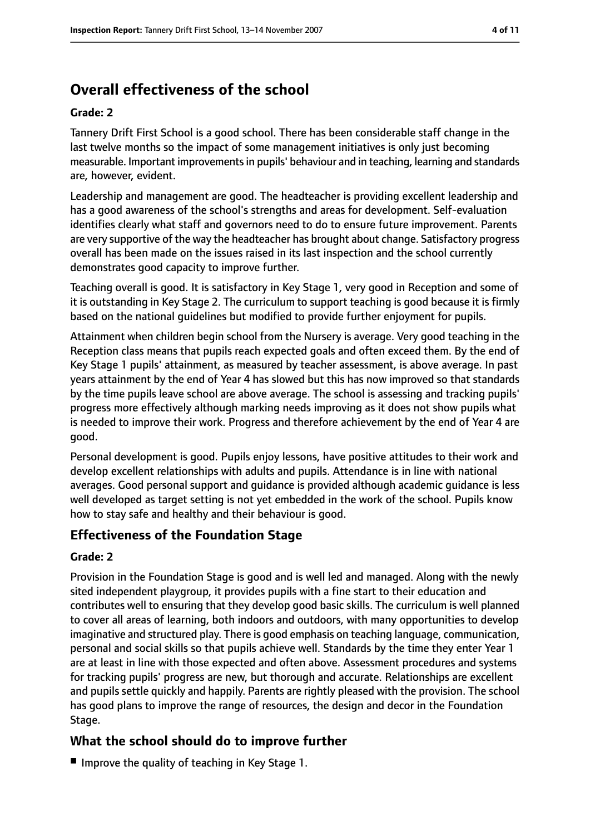# **Overall effectiveness of the school**

#### **Grade: 2**

Tannery Drift First School is a good school. There has been considerable staff change in the last twelve months so the impact of some management initiatives is only just becoming measurable. Important improvementsin pupils' behaviour and in teaching, learning and standards are, however, evident.

Leadership and management are good. The headteacher is providing excellent leadership and has a good awareness of the school's strengths and areas for development. Self-evaluation identifies clearly what staff and governors need to do to ensure future improvement. Parents are very supportive of the way the headteacher has brought about change. Satisfactory progress overall has been made on the issues raised in its last inspection and the school currently demonstrates good capacity to improve further.

Teaching overall is good. It is satisfactory in Key Stage 1, very good in Reception and some of it is outstanding in Key Stage 2. The curriculum to support teaching is good because it is firmly based on the national guidelines but modified to provide further enjoyment for pupils.

Attainment when children begin school from the Nursery is average. Very good teaching in the Reception class means that pupils reach expected goals and often exceed them. By the end of Key Stage 1 pupils' attainment, as measured by teacher assessment, is above average. In past years attainment by the end of Year 4 has slowed but this has now improved so that standards by the time pupils leave school are above average. The school is assessing and tracking pupils' progress more effectively although marking needs improving as it does not show pupils what is needed to improve their work. Progress and therefore achievement by the end of Year 4 are good.

Personal development is good. Pupils enjoy lessons, have positive attitudes to their work and develop excellent relationships with adults and pupils. Attendance is in line with national averages. Good personal support and guidance is provided although academic guidance is less well developed as target setting is not yet embedded in the work of the school. Pupils know how to stay safe and healthy and their behaviour is good.

## **Effectiveness of the Foundation Stage**

#### **Grade: 2**

Provision in the Foundation Stage is good and is well led and managed. Along with the newly sited independent playgroup, it provides pupils with a fine start to their education and contributes well to ensuring that they develop good basic skills. The curriculum is well planned to cover all areas of learning, both indoors and outdoors, with many opportunities to develop imaginative and structured play. There is good emphasis on teaching language, communication, personal and social skills so that pupils achieve well. Standards by the time they enter Year 1 are at least in line with those expected and often above. Assessment procedures and systems for tracking pupils' progress are new, but thorough and accurate. Relationships are excellent and pupils settle quickly and happily. Parents are rightly pleased with the provision. The school has good plans to improve the range of resources, the design and decor in the Foundation Stage.

## **What the school should do to improve further**

■ Improve the quality of teaching in Key Stage 1.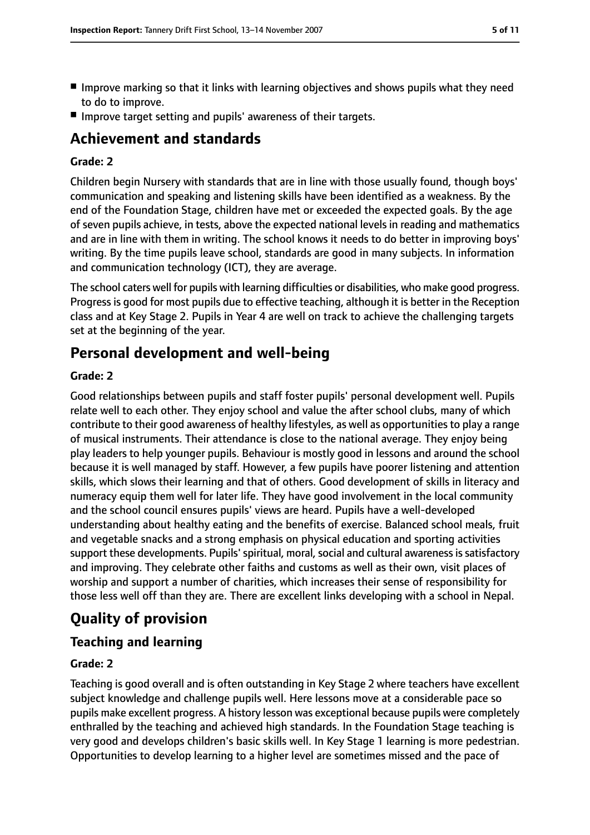- Improve marking so that it links with learning objectives and shows pupils what they need to do to improve.
- Improve target setting and pupils' awareness of their targets.

## **Achievement and standards**

#### **Grade: 2**

Children begin Nursery with standards that are in line with those usually found, though boys' communication and speaking and listening skills have been identified as a weakness. By the end of the Foundation Stage, children have met or exceeded the expected goals. By the age of seven pupils achieve, in tests, above the expected national levels in reading and mathematics and are in line with them in writing. The school knows it needs to do better in improving boys' writing. By the time pupils leave school, standards are good in many subjects. In information and communication technology (ICT), they are average.

The school caters well for pupils with learning difficulties or disabilities, who make good progress. Progress is good for most pupils due to effective teaching, although it is better in the Reception class and at Key Stage 2. Pupils in Year 4 are well on track to achieve the challenging targets set at the beginning of the year.

## **Personal development and well-being**

#### **Grade: 2**

Good relationships between pupils and staff foster pupils' personal development well. Pupils relate well to each other. They enjoy school and value the after school clubs, many of which contribute to their good awareness of healthy lifestyles, as well as opportunities to play a range of musical instruments. Their attendance is close to the national average. They enjoy being play leaders to help younger pupils. Behaviour is mostly good in lessons and around the school because it is well managed by staff. However, a few pupils have poorer listening and attention skills, which slows their learning and that of others. Good development of skills in literacy and numeracy equip them well for later life. They have good involvement in the local community and the school council ensures pupils' views are heard. Pupils have a well-developed understanding about healthy eating and the benefits of exercise. Balanced school meals, fruit and vegetable snacks and a strong emphasis on physical education and sporting activities support these developments. Pupils' spiritual, moral, social and cultural awareness is satisfactory and improving. They celebrate other faiths and customs as well as their own, visit places of worship and support a number of charities, which increases their sense of responsibility for those less well off than they are. There are excellent links developing with a school in Nepal.

# **Quality of provision**

## **Teaching and learning**

#### **Grade: 2**

Teaching is good overall and is often outstanding in Key Stage 2 where teachers have excellent subject knowledge and challenge pupils well. Here lessons move at a considerable pace so pupils make excellent progress. A history lesson was exceptional because pupils were completely enthralled by the teaching and achieved high standards. In the Foundation Stage teaching is very good and develops children's basic skills well. In Key Stage 1 learning is more pedestrian. Opportunities to develop learning to a higher level are sometimes missed and the pace of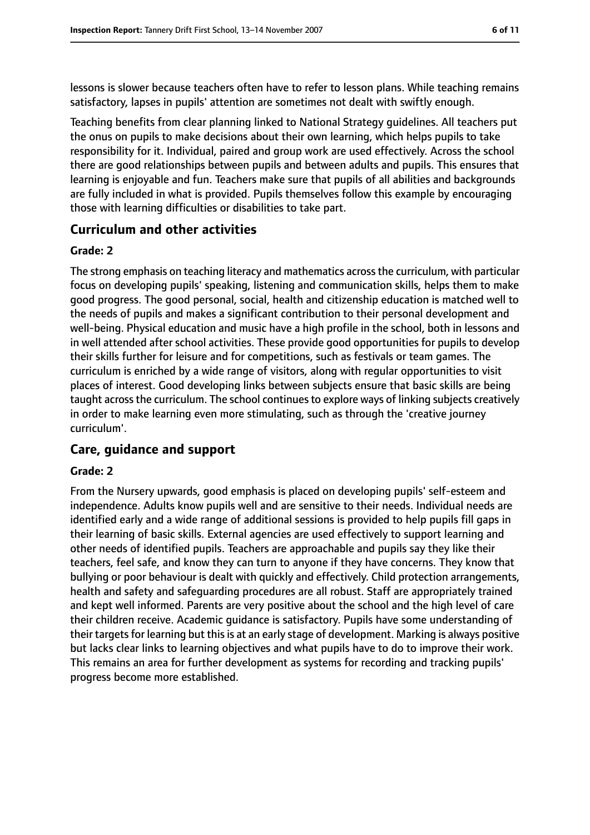lessons is slower because teachers often have to refer to lesson plans. While teaching remains satisfactory, lapses in pupils' attention are sometimes not dealt with swiftly enough.

Teaching benefits from clear planning linked to National Strategy guidelines. All teachers put the onus on pupils to make decisions about their own learning, which helps pupils to take responsibility for it. Individual, paired and group work are used effectively. Across the school there are good relationships between pupils and between adults and pupils. This ensures that learning is enjoyable and fun. Teachers make sure that pupils of all abilities and backgrounds are fully included in what is provided. Pupils themselves follow this example by encouraging those with learning difficulties or disabilities to take part.

## **Curriculum and other activities**

#### **Grade: 2**

The strong emphasis on teaching literacy and mathematics acrossthe curriculum, with particular focus on developing pupils' speaking, listening and communication skills, helps them to make good progress. The good personal, social, health and citizenship education is matched well to the needs of pupils and makes a significant contribution to their personal development and well-being. Physical education and music have a high profile in the school, both in lessons and in well attended after school activities. These provide good opportunities for pupils to develop their skills further for leisure and for competitions, such as festivals or team games. The curriculum is enriched by a wide range of visitors, along with regular opportunities to visit places of interest. Good developing links between subjects ensure that basic skills are being taught across the curriculum. The school continues to explore ways of linking subjects creatively in order to make learning even more stimulating, such as through the 'creative journey curriculum'.

#### **Care, guidance and support**

#### **Grade: 2**

From the Nursery upwards, good emphasis is placed on developing pupils' self-esteem and independence. Adults know pupils well and are sensitive to their needs. Individual needs are identified early and a wide range of additional sessions is provided to help pupils fill gaps in their learning of basic skills. External agencies are used effectively to support learning and other needs of identified pupils. Teachers are approachable and pupils say they like their teachers, feel safe, and know they can turn to anyone if they have concerns. They know that bullying or poor behaviour is dealt with quickly and effectively. Child protection arrangements, health and safety and safeguarding procedures are all robust. Staff are appropriately trained and kept well informed. Parents are very positive about the school and the high level of care their children receive. Academic guidance is satisfactory. Pupils have some understanding of their targets for learning but this is at an early stage of development. Marking is always positive but lacks clear links to learning objectives and what pupils have to do to improve their work. This remains an area for further development as systems for recording and tracking pupils' progress become more established.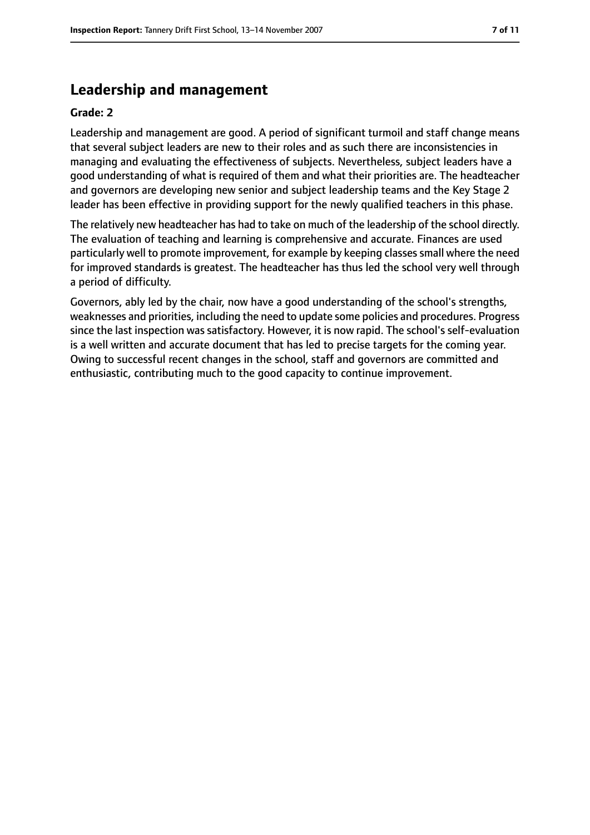## **Leadership and management**

#### **Grade: 2**

Leadership and management are good. A period of significant turmoil and staff change means that several subject leaders are new to their roles and as such there are inconsistencies in managing and evaluating the effectiveness of subjects. Nevertheless, subject leaders have a good understanding of what is required of them and what their priorities are. The headteacher and governors are developing new senior and subject leadership teams and the Key Stage 2 leader has been effective in providing support for the newly qualified teachers in this phase.

The relatively new headteacher has had to take on much of the leadership of the school directly. The evaluation of teaching and learning is comprehensive and accurate. Finances are used particularly well to promote improvement, for example by keeping classes small where the need for improved standards is greatest. The headteacher has thus led the school very well through a period of difficulty.

Governors, ably led by the chair, now have a good understanding of the school's strengths, weaknesses and priorities, including the need to update some policies and procedures. Progress since the last inspection was satisfactory. However, it is now rapid. The school's self-evaluation is a well written and accurate document that has led to precise targets for the coming year. Owing to successful recent changes in the school, staff and governors are committed and enthusiastic, contributing much to the good capacity to continue improvement.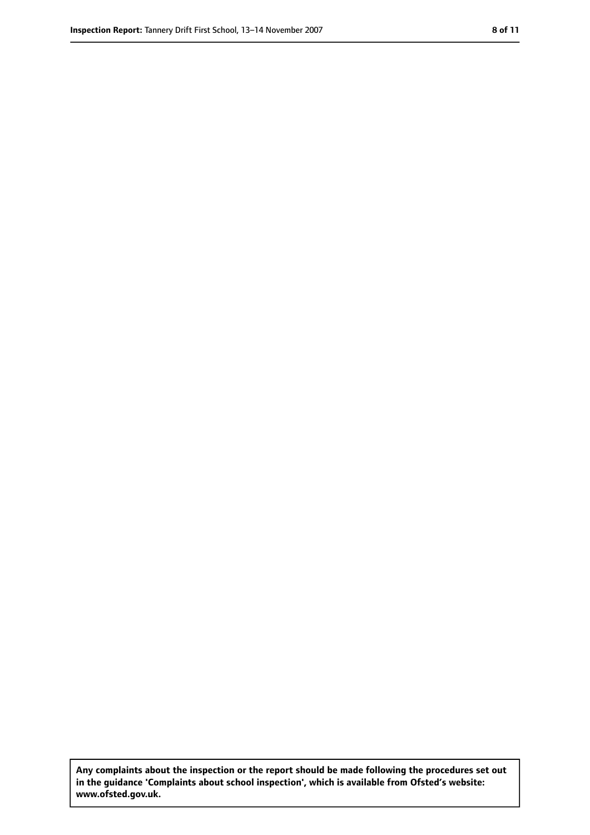**Any complaints about the inspection or the report should be made following the procedures set out in the guidance 'Complaints about school inspection', which is available from Ofsted's website: www.ofsted.gov.uk.**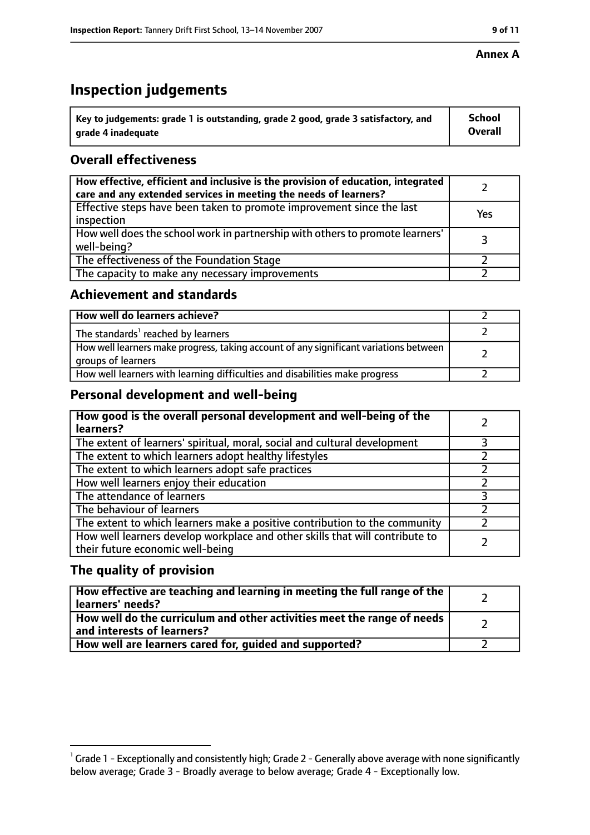#### **Annex A**

# **Inspection judgements**

| $^{\backprime}$ Key to judgements: grade 1 is outstanding, grade 2 good, grade 3 satisfactory, and | <b>School</b>  |
|----------------------------------------------------------------------------------------------------|----------------|
| arade 4 inadequate                                                                                 | <b>Overall</b> |

## **Overall effectiveness**

| How effective, efficient and inclusive is the provision of education, integrated<br>care and any extended services in meeting the needs of learners? |     |
|------------------------------------------------------------------------------------------------------------------------------------------------------|-----|
| Effective steps have been taken to promote improvement since the last<br>inspection                                                                  | Yes |
| How well does the school work in partnership with others to promote learners'<br>well-being?                                                         |     |
| The effectiveness of the Foundation Stage                                                                                                            |     |
| The capacity to make any necessary improvements                                                                                                      |     |

#### **Achievement and standards**

| How well do learners achieve?                                                                               |  |
|-------------------------------------------------------------------------------------------------------------|--|
| The standards <sup>1</sup> reached by learners                                                              |  |
| How well learners make progress, taking account of any significant variations between<br>groups of learners |  |
| How well learners with learning difficulties and disabilities make progress                                 |  |

## **Personal development and well-being**

| How good is the overall personal development and well-being of the<br>learners?                                  |  |
|------------------------------------------------------------------------------------------------------------------|--|
| The extent of learners' spiritual, moral, social and cultural development                                        |  |
| The extent to which learners adopt healthy lifestyles                                                            |  |
| The extent to which learners adopt safe practices                                                                |  |
| How well learners enjoy their education                                                                          |  |
| The attendance of learners                                                                                       |  |
| The behaviour of learners                                                                                        |  |
| The extent to which learners make a positive contribution to the community                                       |  |
| How well learners develop workplace and other skills that will contribute to<br>their future economic well-being |  |

## **The quality of provision**

| How effective are teaching and learning in meeting the full range of the<br>learners' needs?          |  |
|-------------------------------------------------------------------------------------------------------|--|
| How well do the curriculum and other activities meet the range of needs<br>and interests of learners? |  |
| How well are learners cared for, guided and supported?                                                |  |

 $^1$  Grade 1 - Exceptionally and consistently high; Grade 2 - Generally above average with none significantly below average; Grade 3 - Broadly average to below average; Grade 4 - Exceptionally low.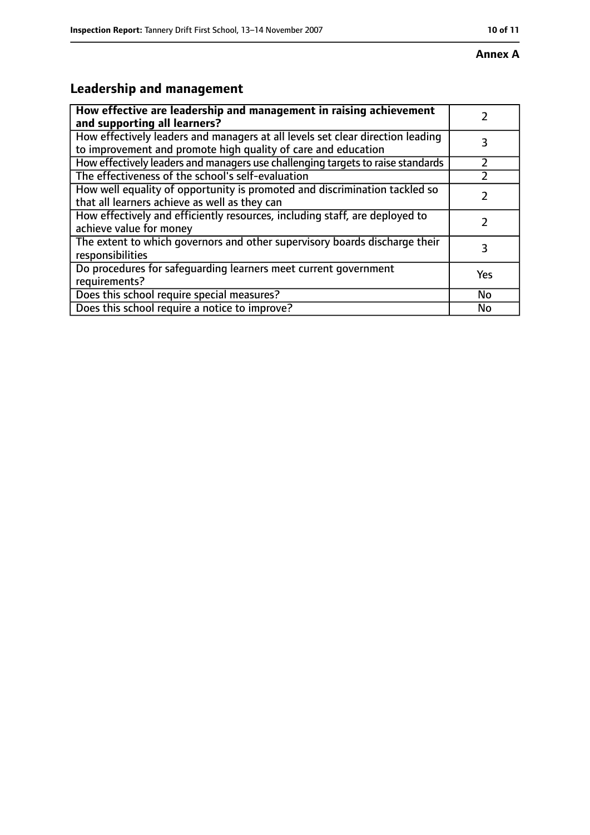# **Leadership and management**

| How effective are leadership and management in raising achievement<br>and supporting all learners?                                              |           |
|-------------------------------------------------------------------------------------------------------------------------------------------------|-----------|
| How effectively leaders and managers at all levels set clear direction leading<br>to improvement and promote high quality of care and education |           |
| How effectively leaders and managers use challenging targets to raise standards                                                                 |           |
| The effectiveness of the school's self-evaluation                                                                                               |           |
| How well equality of opportunity is promoted and discrimination tackled so<br>that all learners achieve as well as they can                     |           |
| How effectively and efficiently resources, including staff, are deployed to<br>achieve value for money                                          |           |
| The extent to which governors and other supervisory boards discharge their<br>responsibilities                                                  | 3         |
| Do procedures for safequarding learners meet current government<br>requirements?                                                                | Yes       |
| Does this school require special measures?                                                                                                      | <b>No</b> |
| Does this school require a notice to improve?                                                                                                   | No        |